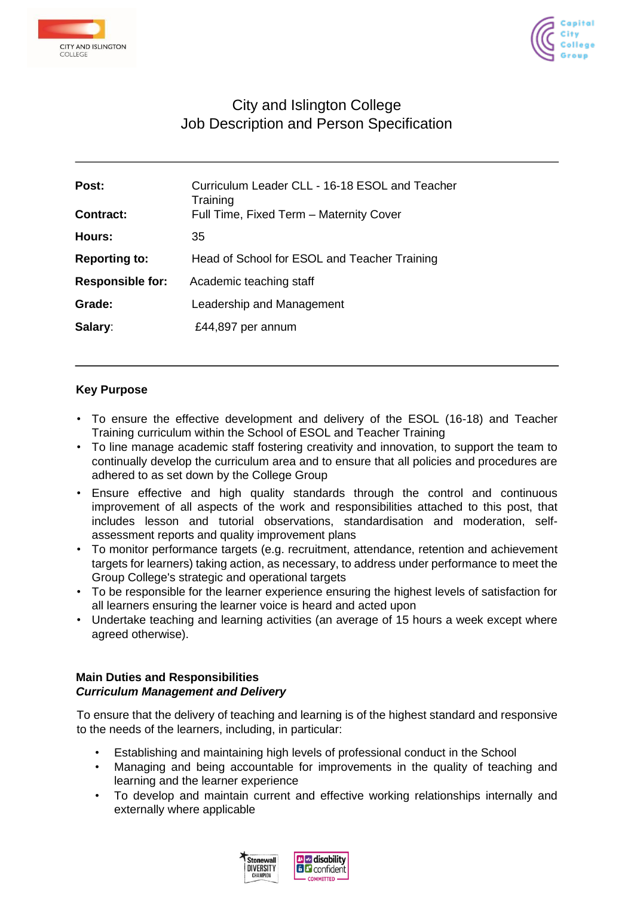



# City and Islington College Job Description and Person Specification

| Curriculum Leader CLL - 16-18 ESOL and Teacher<br>Training<br>Full Time, Fixed Term - Maternity Cover |
|-------------------------------------------------------------------------------------------------------|
| 35                                                                                                    |
| Head of School for ESOL and Teacher Training                                                          |
| Academic teaching staff                                                                               |
| Leadership and Management                                                                             |
| £44,897 per annum                                                                                     |
|                                                                                                       |

## **Key Purpose**

- To ensure the effective development and delivery of the ESOL (16-18) and Teacher Training curriculum within the School of ESOL and Teacher Training
- To line manage academic staff fostering creativity and innovation, to support the team to continually develop the curriculum area and to ensure that all policies and procedures are adhered to as set down by the College Group
- Ensure effective and high quality standards through the control and continuous improvement of all aspects of the work and responsibilities attached to this post, that includes lesson and tutorial observations, standardisation and moderation, selfassessment reports and quality improvement plans
- To monitor performance targets (e.g. recruitment, attendance, retention and achievement targets for learners) taking action, as necessary, to address under performance to meet the Group College's strategic and operational targets
- To be responsible for the learner experience ensuring the highest levels of satisfaction for all learners ensuring the learner voice is heard and acted upon
- Undertake teaching and learning activities (an average of 15 hours a week except where agreed otherwise).

## **Main Duties and Responsibilities**  *Curriculum Management and Delivery*

To ensure that the delivery of teaching and learning is of the highest standard and responsive to the needs of the learners, including, in particular:

- Establishing and maintaining high levels of professional conduct in the School
- Managing and being accountable for improvements in the quality of teaching and learning and the learner experience
- To develop and maintain current and effective working relationships internally and externally where applicable

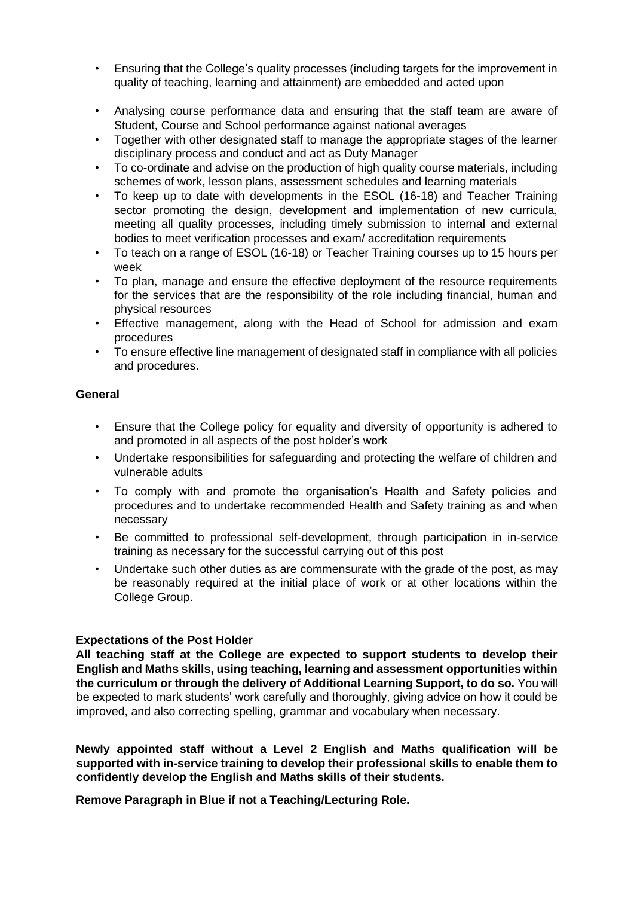- Ensuring that the College's quality processes (including targets for the improvement in quality of teaching, learning and attainment) are embedded and acted upon
- Analysing course performance data and ensuring that the staff team are aware of Student, Course and School performance against national averages
- Together with other designated staff to manage the appropriate stages of the learner disciplinary process and conduct and act as Duty Manager
- To co-ordinate and advise on the production of high quality course materials, including schemes of work, lesson plans, assessment schedules and learning materials
- To keep up to date with developments in the ESOL (16-18) and Teacher Training sector promoting the design, development and implementation of new curricula, meeting all quality processes, including timely submission to internal and external bodies to meet verification processes and exam/ accreditation requirements
- To teach on a range of ESOL (16-18) or Teacher Training courses up to 15 hours per week
- To plan, manage and ensure the effective deployment of the resource requirements for the services that are the responsibility of the role including financial, human and physical resources
- Effective management, along with the Head of School for admission and exam procedures
- To ensure effective line management of designated staff in compliance with all policies and procedures.

### **General**

- Ensure that the College policy for equality and diversity of opportunity is adhered to and promoted in all aspects of the post holder's work
- Undertake responsibilities for safeguarding and protecting the welfare of children and vulnerable adults
- To comply with and promote the organisation's Health and Safety policies and procedures and to undertake recommended Health and Safety training as and when necessary
- Be committed to professional self-development, through participation in in-service training as necessary for the successful carrying out of this post
- Undertake such other duties as are commensurate with the grade of the post, as may be reasonably required at the initial place of work or at other locations within the College Group.

## **Expectations of the Post Holder**

**All teaching staff at the College are expected to support students to develop their English and Maths skills, using teaching, learning and assessment opportunities within the curriculum or through the delivery of Additional Learning Support, to do so.** You will be expected to mark students' work carefully and thoroughly, giving advice on how it could be improved, and also correcting spelling, grammar and vocabulary when necessary.

**Newly appointed staff without a Level 2 English and Maths qualification will be supported with in-service training to develop their professional skills to enable them to confidently develop the English and Maths skills of their students.** 

**Remove Paragraph in Blue if not a Teaching/Lecturing Role.**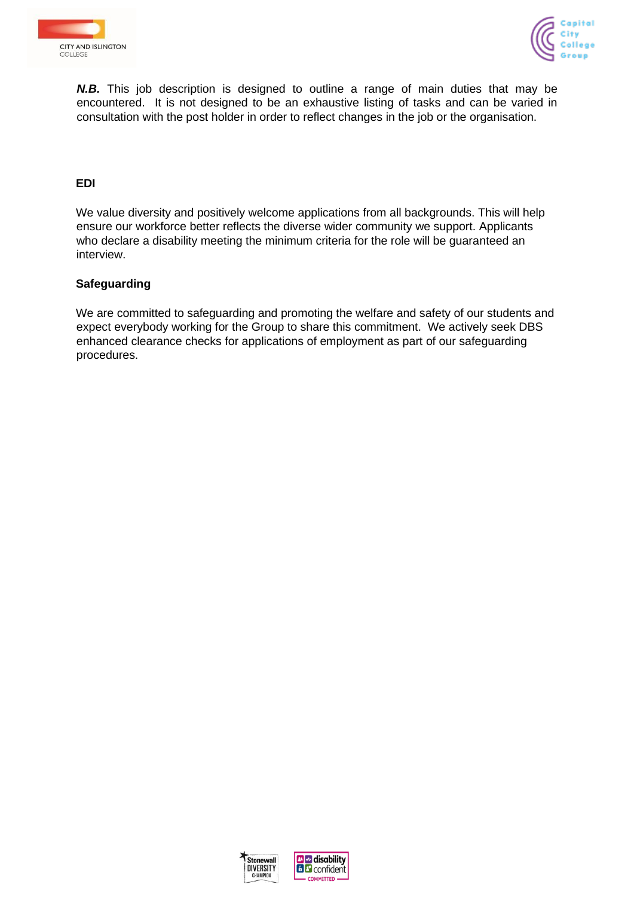



*N.B.* This job description is designed to outline a range of main duties that may be encountered. It is not designed to be an exhaustive listing of tasks and can be varied in consultation with the post holder in order to reflect changes in the job or the organisation.

## **EDI**

We value diversity and positively welcome applications from all backgrounds. This will help ensure our workforce better reflects the diverse wider community we support. Applicants who declare a disability meeting the minimum criteria for the role will be guaranteed an interview.

### **Safeguarding**

We are committed to safeguarding and promoting the welfare and safety of our students and expect everybody working for the Group to share this commitment. We actively seek DBS enhanced clearance checks for applications of employment as part of our safeguarding procedures.



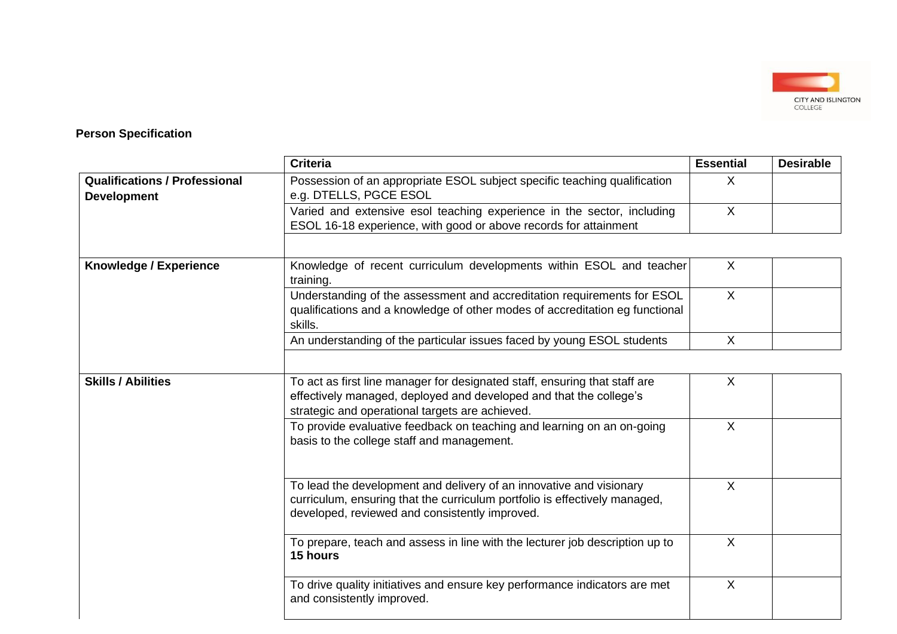

## **Person Specification**

|                                                            | <b>Criteria</b>                                                                                                                                                                                     | <b>Essential</b> | <b>Desirable</b> |
|------------------------------------------------------------|-----------------------------------------------------------------------------------------------------------------------------------------------------------------------------------------------------|------------------|------------------|
| <b>Qualifications / Professional</b><br><b>Development</b> | Possession of an appropriate ESOL subject specific teaching qualification<br>e.g. DTELLS, PGCE ESOL                                                                                                 | X                |                  |
|                                                            | Varied and extensive esol teaching experience in the sector, including<br>ESOL 16-18 experience, with good or above records for attainment                                                          | $\sf X$          |                  |
|                                                            |                                                                                                                                                                                                     |                  |                  |
| <b>Knowledge / Experience</b>                              | Knowledge of recent curriculum developments within ESOL and teacher<br>training.                                                                                                                    | $\sf X$          |                  |
|                                                            | Understanding of the assessment and accreditation requirements for ESOL<br>qualifications and a knowledge of other modes of accreditation eg functional<br>skills.                                  | $\mathsf{X}$     |                  |
|                                                            | An understanding of the particular issues faced by young ESOL students                                                                                                                              | $\sf X$          |                  |
|                                                            |                                                                                                                                                                                                     |                  |                  |
| <b>Skills / Abilities</b>                                  | To act as first line manager for designated staff, ensuring that staff are<br>effectively managed, deployed and developed and that the college's<br>strategic and operational targets are achieved. | $\sf X$          |                  |
|                                                            | To provide evaluative feedback on teaching and learning on an on-going<br>basis to the college staff and management.                                                                                | $\sf X$          |                  |
|                                                            | To lead the development and delivery of an innovative and visionary<br>curriculum, ensuring that the curriculum portfolio is effectively managed,<br>developed, reviewed and consistently improved. | $\sf X$          |                  |
|                                                            | To prepare, teach and assess in line with the lecturer job description up to<br>15 hours                                                                                                            | $\sf X$          |                  |
|                                                            | To drive quality initiatives and ensure key performance indicators are met<br>and consistently improved.                                                                                            | $\sf X$          |                  |